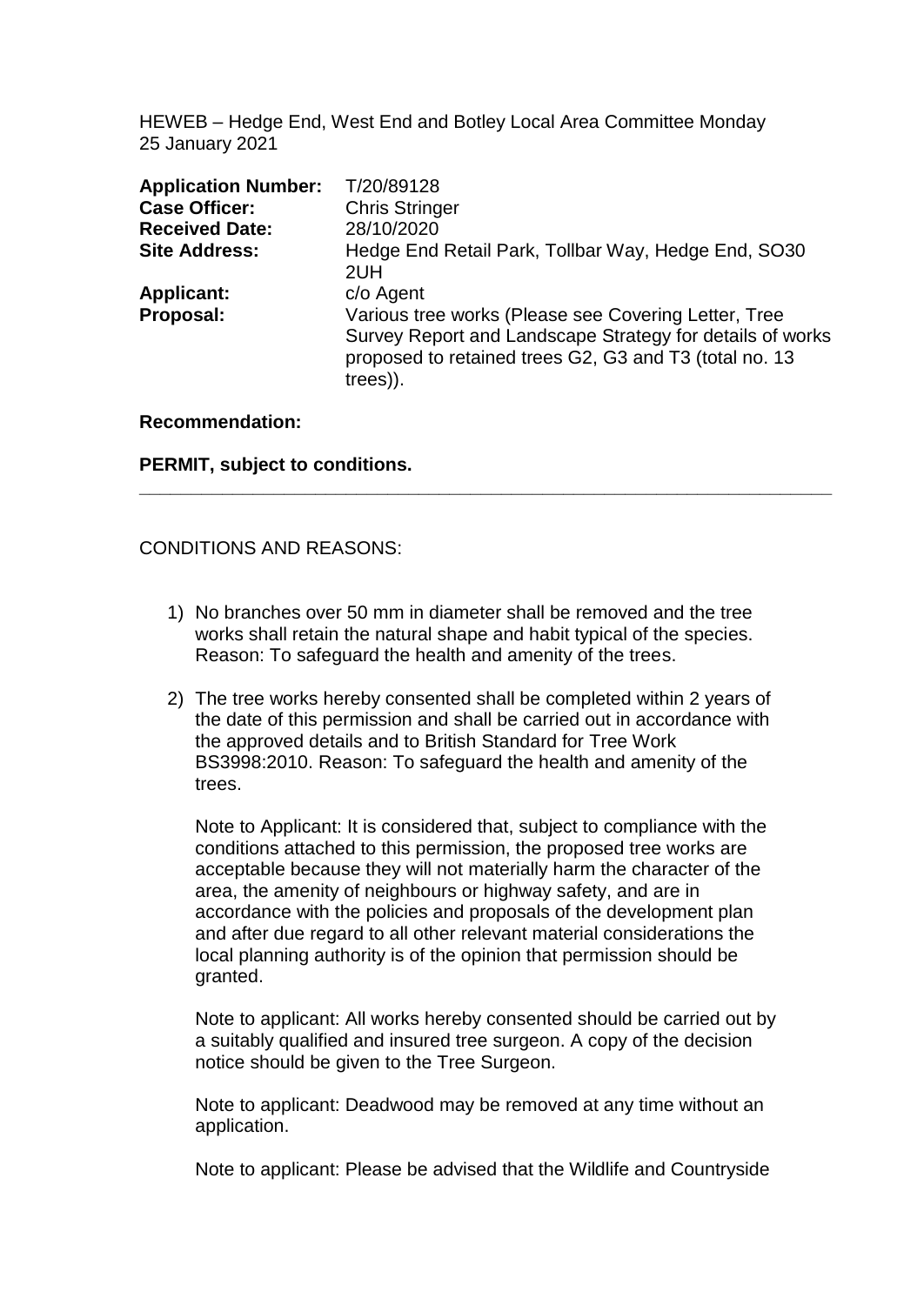HEWEB – Hedge End, West End and Botley Local Area Committee Monday 25 January 2021

| <b>Application Number:</b> | T/20/89128                                                                                                                                                                               |
|----------------------------|------------------------------------------------------------------------------------------------------------------------------------------------------------------------------------------|
| <b>Case Officer:</b>       | <b>Chris Stringer</b>                                                                                                                                                                    |
| <b>Received Date:</b>      | 28/10/2020                                                                                                                                                                               |
| <b>Site Address:</b>       | Hedge End Retail Park, Tollbar Way, Hedge End, SO30<br>2UH                                                                                                                               |
| <b>Applicant:</b>          | c/o Agent                                                                                                                                                                                |
| Proposal:                  | Various tree works (Please see Covering Letter, Tree<br>Survey Report and Landscape Strategy for details of works<br>proposed to retained trees G2, G3 and T3 (total no. 13)<br>trees)). |

**\_\_\_\_\_\_\_\_\_\_\_\_\_\_\_\_\_\_\_\_\_\_\_\_\_\_\_\_\_\_\_\_\_\_\_\_\_\_\_\_\_\_\_\_\_\_\_\_\_\_\_\_\_\_\_\_\_\_\_\_\_\_\_\_\_\_\_**

#### **Recommendation:**

#### **PERMIT, subject to conditions.**

#### CONDITIONS AND REASONS:

- 1) No branches over 50 mm in diameter shall be removed and the tree works shall retain the natural shape and habit typical of the species. Reason: To safeguard the health and amenity of the trees.
- 2) The tree works hereby consented shall be completed within 2 years of the date of this permission and shall be carried out in accordance with the approved details and to British Standard for Tree Work BS3998:2010. Reason: To safeguard the health and amenity of the trees.

Note to Applicant: It is considered that, subject to compliance with the conditions attached to this permission, the proposed tree works are acceptable because they will not materially harm the character of the area, the amenity of neighbours or highway safety, and are in accordance with the policies and proposals of the development plan and after due regard to all other relevant material considerations the local planning authority is of the opinion that permission should be granted.

Note to applicant: All works hereby consented should be carried out by a suitably qualified and insured tree surgeon. A copy of the decision notice should be given to the Tree Surgeon.

Note to applicant: Deadwood may be removed at any time without an application.

Note to applicant: Please be advised that the Wildlife and Countryside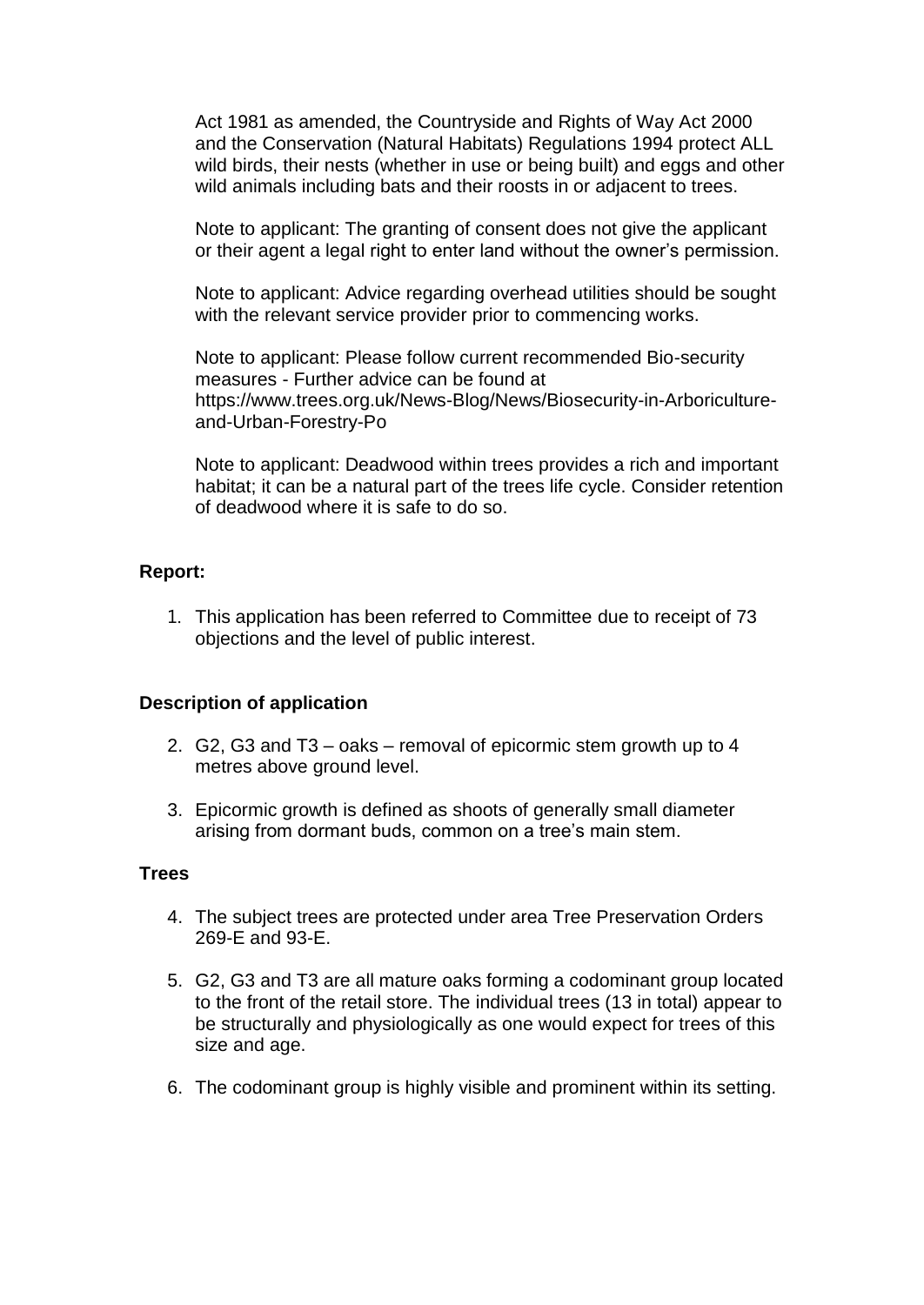Act 1981 as amended, the Countryside and Rights of Way Act 2000 and the Conservation (Natural Habitats) Regulations 1994 protect ALL wild birds, their nests (whether in use or being built) and eggs and other wild animals including bats and their roosts in or adjacent to trees.

Note to applicant: The granting of consent does not give the applicant or their agent a legal right to enter land without the owner's permission.

Note to applicant: Advice regarding overhead utilities should be sought with the relevant service provider prior to commencing works.

Note to applicant: Please follow current recommended Bio-security measures - Further advice can be found at [https://www.trees.org.uk/News-Blog/News/Biosecurity-in-Arboriculture](https://www.trees.org.uk/News-Blog/News/Biosecurity-in-Arboriculture-and-Urban-Forestry-Po)[and-Urban-Forestry-Po](https://www.trees.org.uk/News-Blog/News/Biosecurity-in-Arboriculture-and-Urban-Forestry-Po)

Note to applicant: Deadwood within trees provides a rich and important habitat; it can be a natural part of the trees life cycle. Consider retention of deadwood where it is safe to do so.

#### **Report:**

1. This application has been referred to Committee due to receipt of 73 objections and the level of public interest.

#### **Description of application**

- 2. G2, G3 and T3 oaks removal of epicormic stem growth up to 4 metres above ground level.
- 3. Epicormic growth is defined as shoots of generally small diameter arising from dormant buds, common on a tree's main stem.

#### **Trees**

- 4. The subject trees are protected under area Tree Preservation Orders 269-E and 93-E.
- 5. G2, G3 and T3 are all mature oaks forming a codominant group located to the front of the retail store. The individual trees (13 in total) appear to be structurally and physiologically as one would expect for trees of this size and age.
- 6. The codominant group is highly visible and prominent within its setting.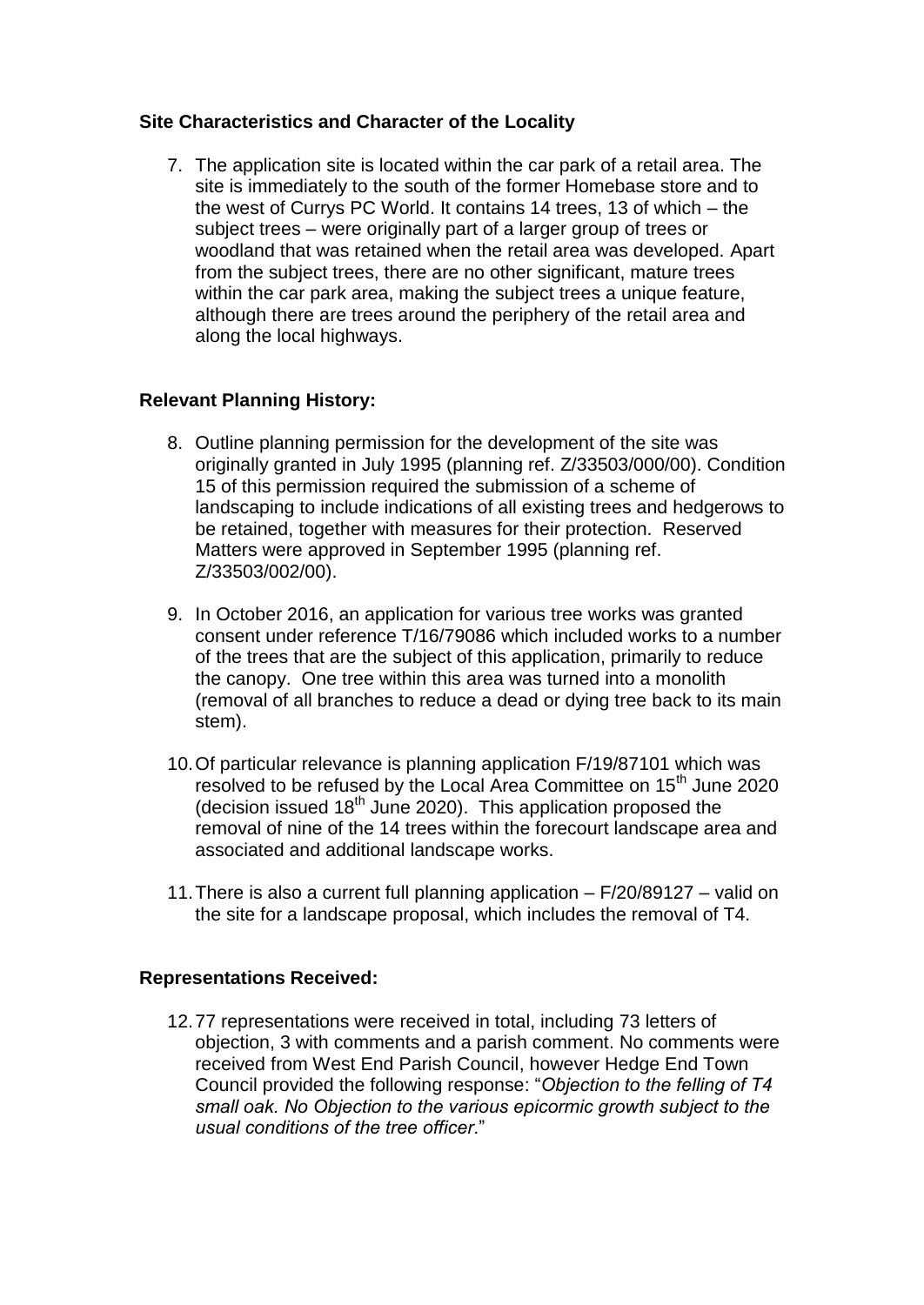## **Site Characteristics and Character of the Locality**

7. The application site is located within the car park of a retail area. The site is immediately to the south of the former Homebase store and to the west of Currys PC World. It contains 14 trees, 13 of which – the subject trees – were originally part of a larger group of trees or woodland that was retained when the retail area was developed. Apart from the subject trees, there are no other significant, mature trees within the car park area, making the subject trees a unique feature, although there are trees around the periphery of the retail area and along the local highways.

## **Relevant Planning History:**

- 8. Outline planning permission for the development of the site was originally granted in July 1995 (planning ref. Z/33503/000/00). Condition 15 of this permission required the submission of a scheme of landscaping to include indications of all existing trees and hedgerows to be retained, together with measures for their protection. Reserved Matters were approved in September 1995 (planning ref. Z/33503/002/00).
- 9. In October 2016, an application for various tree works was granted consent under reference T/16/79086 which included works to a number of the trees that are the subject of this application, primarily to reduce the canopy. One tree within this area was turned into a monolith (removal of all branches to reduce a dead or dying tree back to its main stem).
- 10.Of particular relevance is planning application F/19/87101 which was resolved to be refused by the Local Area Committee on 15<sup>th</sup> June 2020 (decision issued  $18<sup>th</sup>$  June 2020). This application proposed the removal of nine of the 14 trees within the forecourt landscape area and associated and additional landscape works.
- 11.There is also a current full planning application F/20/89127 valid on the site for a landscape proposal, which includes the removal of T4.

#### **Representations Received:**

12.77 representations were received in total, including 73 letters of objection, 3 with comments and a parish comment. No comments were received from West End Parish Council, however Hedge End Town Council provided the following response: "*Objection to the felling of T4 small oak. No Objection to the various epicormic growth subject to the usual conditions of the tree officer*."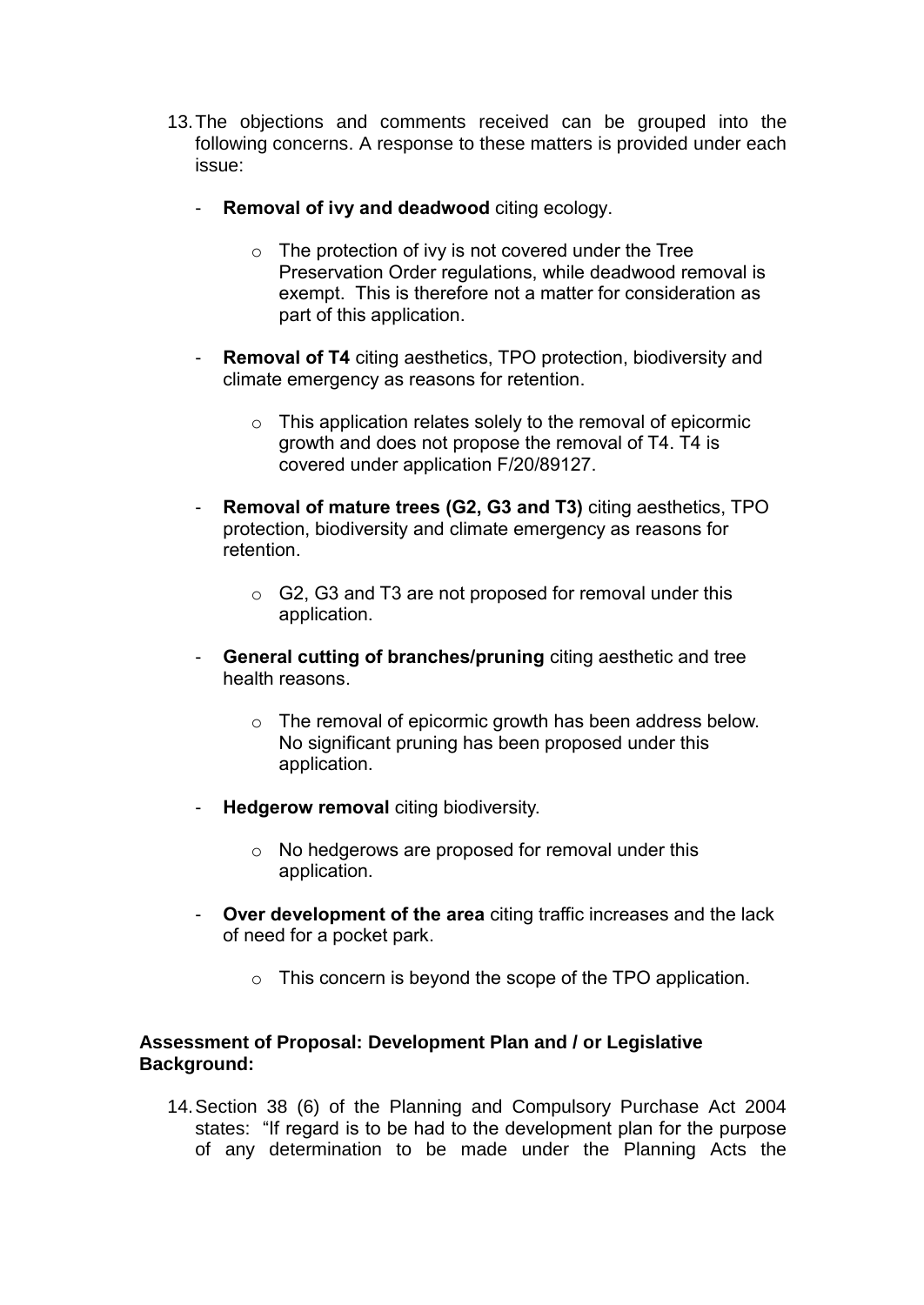- 13.The objections and comments received can be grouped into the following concerns. A response to these matters is provided under each issue:
	- **Removal of ivy and deadwood** citing ecology.
		- $\circ$  The protection of ivy is not covered under the Tree Preservation Order regulations, while deadwood removal is exempt. This is therefore not a matter for consideration as part of this application.
	- **Removal of T4** citing aesthetics, TPO protection, biodiversity and climate emergency as reasons for retention.
		- o This application relates solely to the removal of epicormic growth and does not propose the removal of T4. T4 is covered under application F/20/89127.
	- **Removal of mature trees (G2, G3 and T3)** citing aesthetics, TPO protection, biodiversity and climate emergency as reasons for retention.
		- o G2, G3 and T3 are not proposed for removal under this application.
	- **General cutting of branches/pruning** citing aesthetic and tree health reasons.
		- o The removal of epicormic growth has been address below. No significant pruning has been proposed under this application.
	- **Hedgerow removal** citing biodiversity.
		- o No hedgerows are proposed for removal under this application.
	- **Over development of the area** citing traffic increases and the lack of need for a pocket park.
		- o This concern is beyond the scope of the TPO application.

#### **Assessment of Proposal: Development Plan and / or Legislative Background:**

14.Section 38 (6) of the Planning and Compulsory Purchase Act 2004 states: "If regard is to be had to the development plan for the purpose of any determination to be made under the Planning Acts the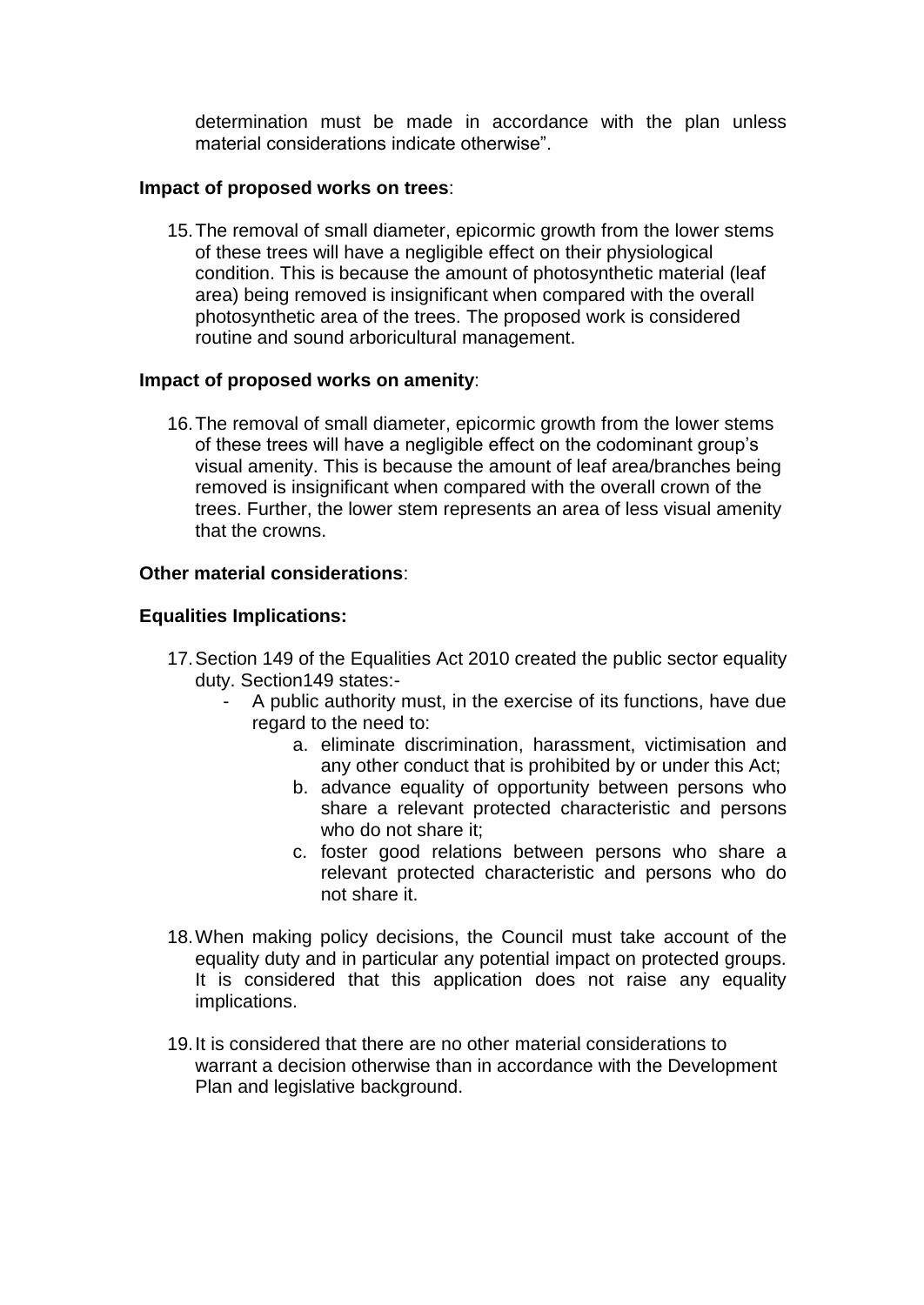determination must be made in accordance with the plan unless material considerations indicate otherwise".

### **Impact of proposed works on trees**:

15.The removal of small diameter, epicormic growth from the lower stems of these trees will have a negligible effect on their physiological condition. This is because the amount of photosynthetic material (leaf area) being removed is insignificant when compared with the overall photosynthetic area of the trees. The proposed work is considered routine and sound arboricultural management.

## **Impact of proposed works on amenity**:

16.The removal of small diameter, epicormic growth from the lower stems of these trees will have a negligible effect on the codominant group's visual amenity. This is because the amount of leaf area/branches being removed is insignificant when compared with the overall crown of the trees. Further, the lower stem represents an area of less visual amenity that the crowns.

## **Other material considerations**:

## **Equalities Implications:**

- 17.Section 149 of the Equalities Act 2010 created the public sector equality duty. Section149 states:-
	- A public authority must, in the exercise of its functions, have due regard to the need to:
		- a. eliminate discrimination, harassment, victimisation and any other conduct that is prohibited by or under this Act;
		- b. advance equality of opportunity between persons who share a relevant protected characteristic and persons who do not share it;
		- c. foster good relations between persons who share a relevant protected characteristic and persons who do not share it.
- 18.When making policy decisions, the Council must take account of the equality duty and in particular any potential impact on protected groups. It is considered that this application does not raise any equality implications.
- 19.It is considered that there are no other material considerations to warrant a decision otherwise than in accordance with the Development Plan and legislative background.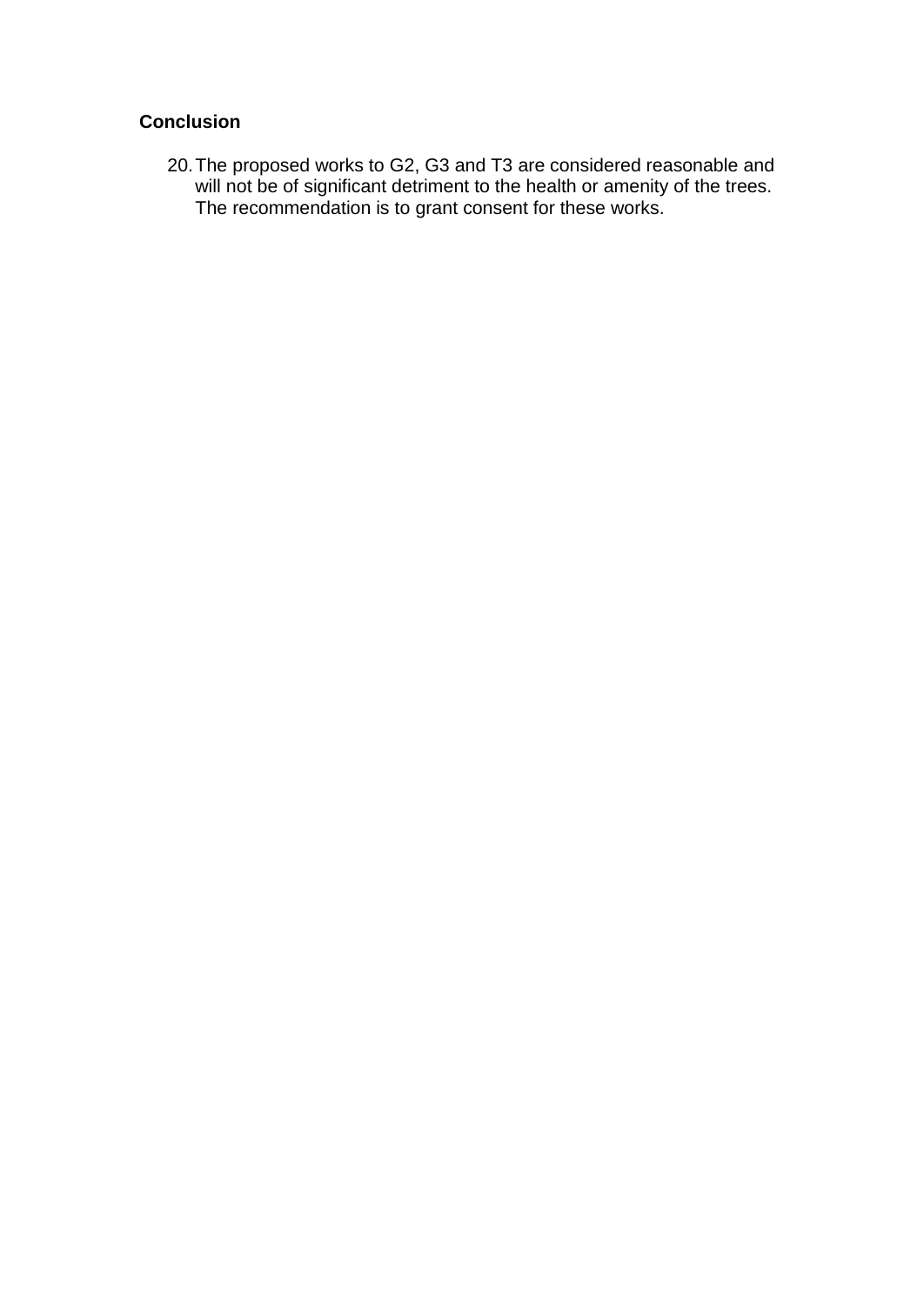# **Conclusion**

20.The proposed works to G2, G3 and T3 are considered reasonable and will not be of significant detriment to the health or amenity of the trees. The recommendation is to grant consent for these works.